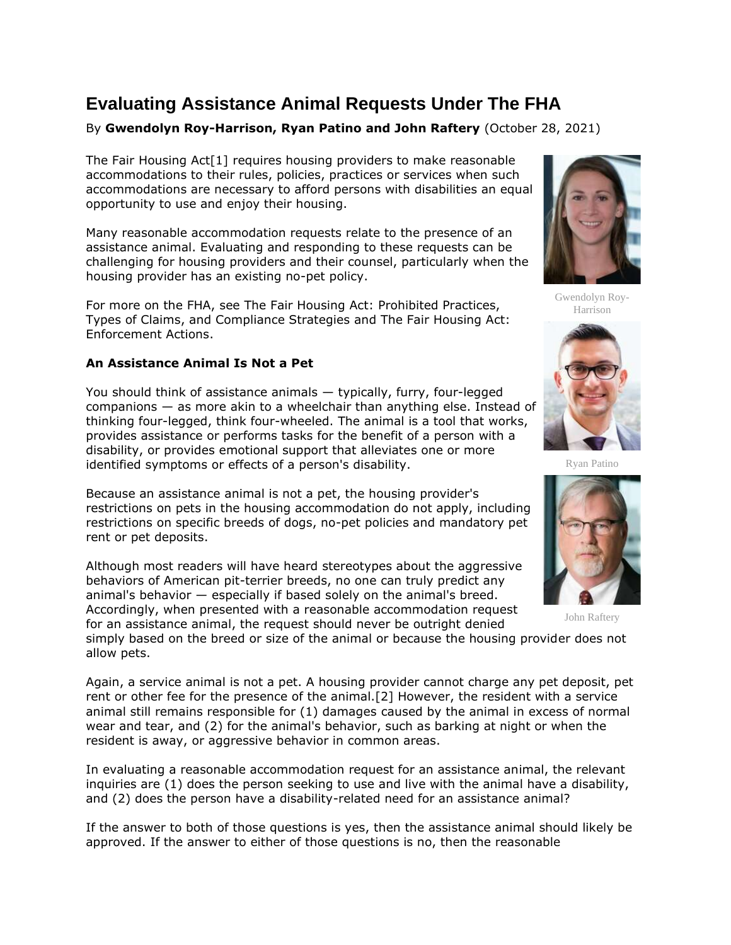# **Evaluating Assistance Animal Requests Under The FHA**

## By **Gwendolyn Roy-Harrison, Ryan Patino and John Raftery** (October 28, 2021)

The Fair Housing Act[1] requires housing providers to make reasonable accommodations to their rules, policies, practices or services when such accommodations are necessary to afford persons with disabilities an equal opportunity to use and enjoy their housing.

Many reasonable accommodation requests relate to the presence of an assistance animal. Evaluating and responding to these requests can be challenging for housing providers and their counsel, particularly when the housing provider has an existing no-pet policy.

For more on the FHA, see [The Fair Housing Act: Prohibited Practices,](https://advance.lexis.com/api/permalink/00e571bf-1330-48ba-bc31-26ce8c45d0cd/?context=1000522)  [Types of Claims, and Compliance Strategies](https://advance.lexis.com/api/permalink/00e571bf-1330-48ba-bc31-26ce8c45d0cd/?context=1000522) and [The Fair Housing Act:](https://advance.lexis.com/api/permalink/85f071f3-b8bd-416e-bc9c-2339e3b7cdfc/?context=1000522)  [Enforcement Actions.](https://advance.lexis.com/api/permalink/85f071f3-b8bd-416e-bc9c-2339e3b7cdfc/?context=1000522)

### **An Assistance Animal Is Not a Pet**

You should think of assistance animals — typically, furry, four-legged companions — as more akin to a wheelchair than anything else. Instead of thinking four-legged, think four-wheeled. The animal is a tool that works, provides assistance or performs tasks for the benefit of a person with a disability, or provides emotional support that alleviates one or more identified symptoms or effects of a person's disability.

Because an assistance animal is not a pet, the housing provider's restrictions on pets in the housing accommodation do not apply, including restrictions on specific breeds of dogs, no-pet policies and mandatory pet rent or pet deposits.

Although most readers will have heard stereotypes about the aggressive behaviors of American pit-terrier breeds, no one can truly predict any animal's behavior — especially if based solely on the animal's breed. Accordingly, when presented with a reasonable accommodation request for an assistance animal, the request should never be outright denied

simply based on the breed or size of the animal or because the housing provider does not allow pets.

Again, a service animal is not a pet. A housing provider cannot charge any pet deposit, pet rent or other fee for the presence of the animal.[2] However, the resident with a service animal still remains responsible for (1) damages caused by the animal in excess of normal wear and tear, and (2) for the animal's behavior, such as barking at night or when the resident is away, or aggressive behavior in common areas.

In evaluating a reasonable accommodation request for an assistance animal, the relevant inquiries are (1) does the person seeking to use and live with the animal have a disability, and (2) does the person have a disability-related need for an assistance animal?

If the answer to both of those questions is yes, then the assistance animal should likely be approved. If the answer to either of those questions is no, then the reasonable



Gwendolyn Roy-Harrison



Ryan Patino



John Raftery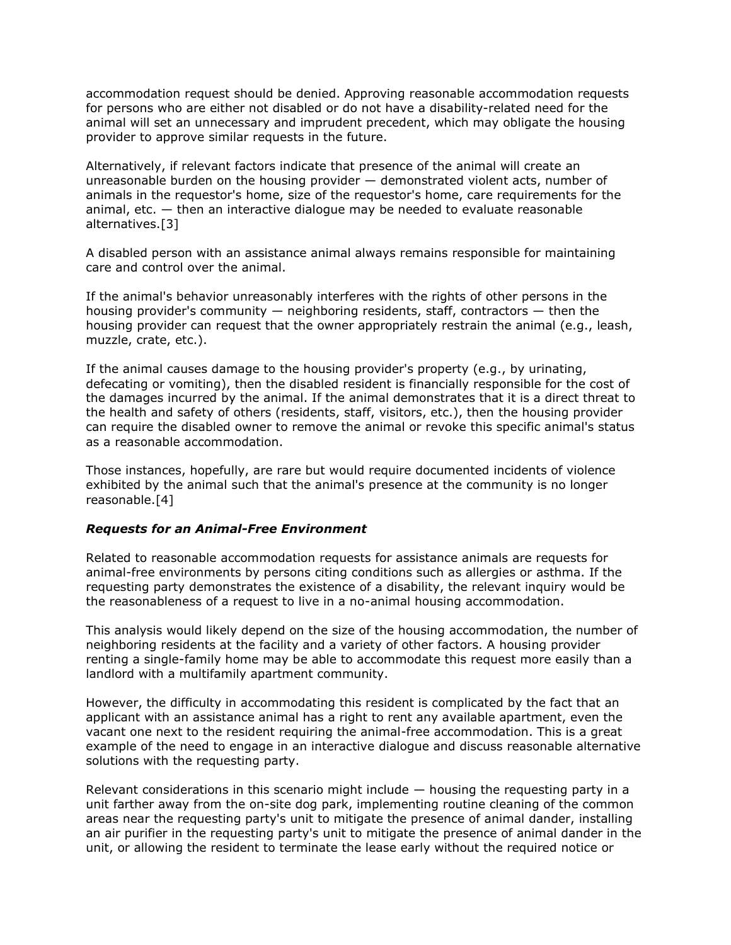accommodation request should be denied. Approving reasonable accommodation requests for persons who are either not disabled or do not have a disability-related need for the animal will set an unnecessary and imprudent precedent, which may obligate the housing provider to approve similar requests in the future.

Alternatively, if relevant factors indicate that presence of the animal will create an unreasonable burden on the housing provider — demonstrated violent acts, number of animals in the requestor's home, size of the requestor's home, care requirements for the animal, etc. — then an interactive dialogue may be needed to evaluate reasonable alternatives.[3]

A disabled person with an assistance animal always remains responsible for maintaining care and control over the animal.

If the animal's behavior unreasonably interferes with the rights of other persons in the housing provider's community  $-$  neighboring residents, staff, contractors  $-$  then the housing provider can request that the owner appropriately restrain the animal (e.g., leash, muzzle, crate, etc.).

If the animal causes damage to the housing provider's property (e.g., by urinating, defecating or vomiting), then the disabled resident is financially responsible for the cost of the damages incurred by the animal. If the animal demonstrates that it is a direct threat to the health and safety of others (residents, staff, visitors, etc.), then the housing provider can require the disabled owner to remove the animal or revoke this specific animal's status as a reasonable accommodation.

Those instances, hopefully, are rare but would require documented incidents of violence exhibited by the animal such that the animal's presence at the community is no longer reasonable.[4]

### *Requests for an Animal-Free Environment*

Related to reasonable accommodation requests for assistance animals are requests for animal-free environments by persons citing conditions such as allergies or asthma. If the requesting party demonstrates the existence of a disability, the relevant inquiry would be the reasonableness of a request to live in a no-animal housing accommodation.

This analysis would likely depend on the size of the housing accommodation, the number of neighboring residents at the facility and a variety of other factors. A housing provider renting a single-family home may be able to accommodate this request more easily than a landlord with a multifamily apartment community.

However, the difficulty in accommodating this resident is complicated by the fact that an applicant with an assistance animal has a right to rent any available apartment, even the vacant one next to the resident requiring the animal-free accommodation. This is a great example of the need to engage in an interactive dialogue and discuss reasonable alternative solutions with the requesting party.

Relevant considerations in this scenario might include  $-$  housing the requesting party in a unit farther away from the on-site dog park, implementing routine cleaning of the common areas near the requesting party's unit to mitigate the presence of animal dander, installing an air purifier in the requesting party's unit to mitigate the presence of animal dander in the unit, or allowing the resident to terminate the lease early without the required notice or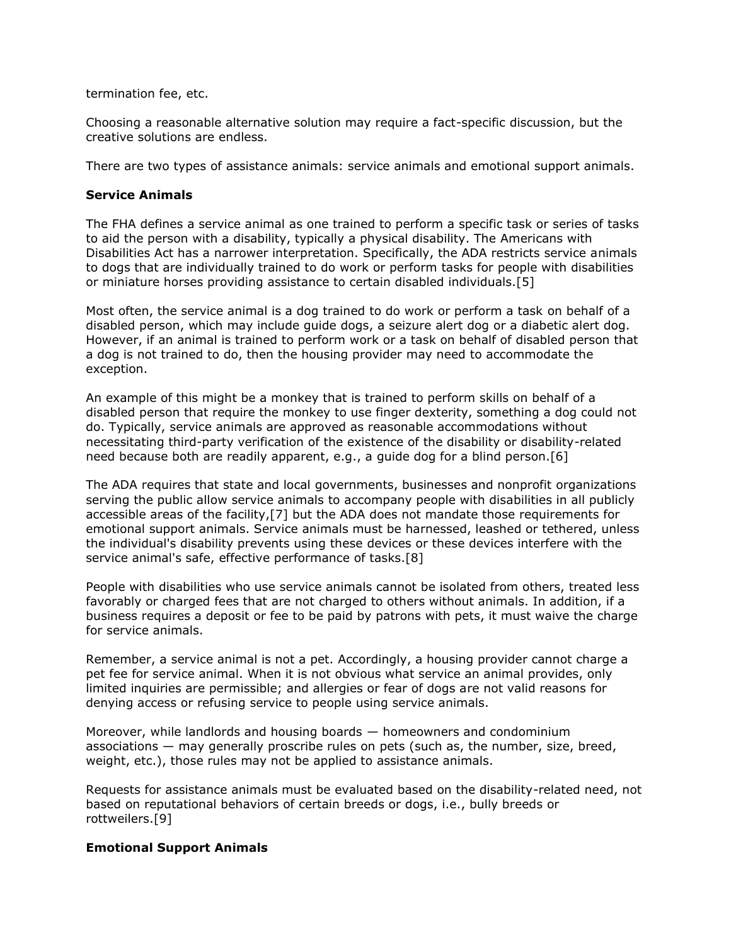termination fee, etc.

Choosing a reasonable alternative solution may require a fact-specific discussion, but the creative solutions are endless.

There are two types of assistance animals: service animals and emotional support animals.

#### **Service Animals**

The FHA defines a service animal as one trained to perform a specific task or series of tasks to aid the person with a disability, typically a physical disability. The Americans with Disabilities Act has a narrower interpretation. Specifically, the ADA restricts service animals to dogs that are individually trained to do work or perform tasks for people with disabilities or miniature horses providing assistance to certain disabled individuals.[5]

Most often, the service animal is a dog trained to do work or perform a task on behalf of a disabled person, which may include guide dogs, a seizure alert dog or a diabetic alert dog. However, if an animal is trained to perform work or a task on behalf of disabled person that a dog is not trained to do, then the housing provider may need to accommodate the exception.

An example of this might be a monkey that is trained to perform skills on behalf of a disabled person that require the monkey to use finger dexterity, something a dog could not do. Typically, service animals are approved as reasonable accommodations without necessitating third-party verification of the existence of the disability or disability-related need because both are readily apparent, e.g., a guide dog for a blind person.[6]

The ADA requires that state and local governments, businesses and nonprofit organizations serving the public allow service animals to accompany people with disabilities in all publicly accessible areas of the facility,[7] but the ADA does not mandate those requirements for emotional support animals. Service animals must be harnessed, leashed or tethered, unless the individual's disability prevents using these devices or these devices interfere with the service animal's safe, effective performance of tasks.[8]

People with disabilities who use service animals cannot be isolated from others, treated less favorably or charged fees that are not charged to others without animals. In addition, if a business requires a deposit or fee to be paid by patrons with pets, it must waive the charge for service animals.

Remember, a service animal is not a pet. Accordingly, a housing provider cannot charge a pet fee for service animal. When it is not obvious what service an animal provides, only limited inquiries are permissible; and allergies or fear of dogs are not valid reasons for denying access or refusing service to people using service animals.

Moreover, while landlords and housing boards — homeowners and condominium associations  $-$  may generally proscribe rules on pets (such as, the number, size, breed, weight, etc.), those rules may not be applied to assistance animals.

Requests for assistance animals must be evaluated based on the disability-related need, not based on reputational behaviors of certain breeds or dogs, i.e., bully breeds or rottweilers.[9]

### **Emotional Support Animals**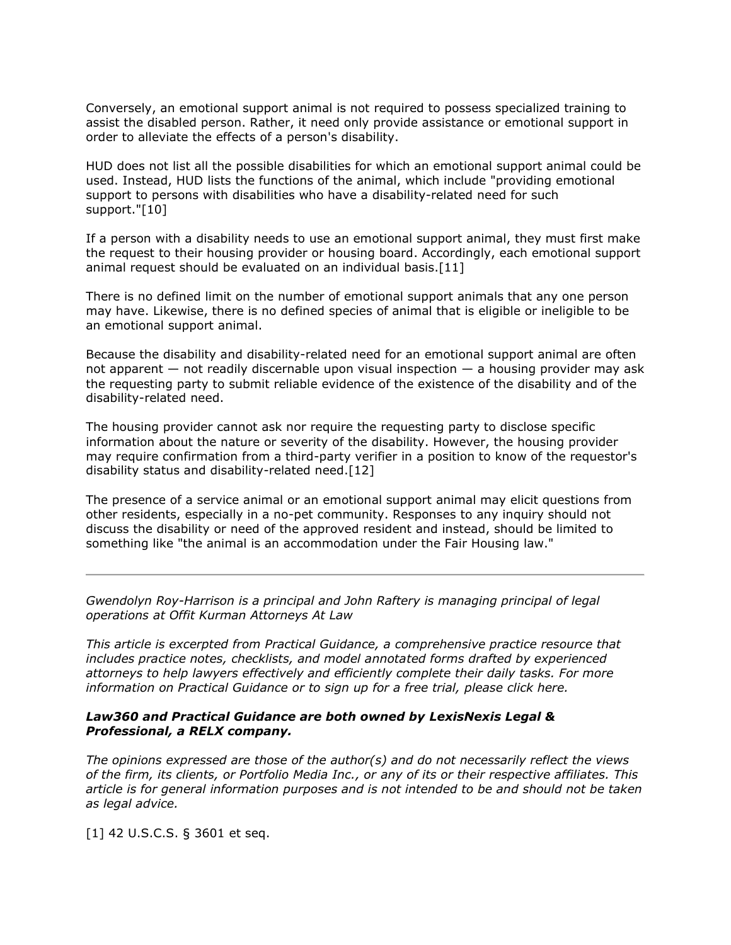Conversely, an emotional support animal is not required to possess specialized training to assist the disabled person. Rather, it need only provide assistance or emotional support in order to alleviate the effects of a person's disability.

HUD does not list all the possible disabilities for which an emotional support animal could be used. Instead, HUD lists the functions of the animal, which include "providing emotional support to persons with disabilities who have a disability-related need for such support."[10]

If a person with a disability needs to use an emotional support animal, they must first make the request to their housing provider or housing board. Accordingly, each emotional support animal request should be evaluated on an individual basis.[11]

There is no defined limit on the number of emotional support animals that any one person may have. Likewise, there is no defined species of animal that is eligible or ineligible to be an emotional support animal.

Because the disability and disability-related need for an emotional support animal are often not apparent — not readily discernable upon visual inspection — a housing provider may ask the requesting party to submit reliable evidence of the existence of the disability and of the disability-related need.

The housing provider cannot ask nor require the requesting party to disclose specific information about the nature or severity of the disability. However, the housing provider may require confirmation from a third-party verifier in a position to know of the requestor's disability status and disability-related need.[12]

The presence of a service animal or an emotional support animal may elicit questions from other residents, especially in a no-pet community. Responses to any inquiry should not discuss the disability or need of the approved resident and instead, should be limited to something like "the animal is an accommodation under the Fair Housing law."

*[Gwendolyn Roy-Harrison](https://www.offitkurman.com/attorney/gwendolyn-holdgreiwe/) is a principal and [John Raft](https://www.offitkurman.com/attorney/ryan-patino/)ery is managing [principal of leg](https://www.offitkurman.com/attorney/john-raftery/)al operations at Offit Kurman Attorneys At [Law](https://www.law360.com/firms/offit-kurman)* 

*This article is excerpted from [Practical Guidance,](https://www.google.com/url?q=https%3A%2F%2Fwww.lexisnexis.com%2Fen-us%2Fproducts%2Flexis-practice-advisor.page&sa=D&sntz=1&usg=AFQjCNGwaSje4laWDa8L9Fo21yKRHRlKRg) a comprehensive practice resource that includes practice notes, checklists, and model annotated forms drafted by experienced attorneys to help lawyers effectively and efficiently complete their daily tasks. For more information on Practical Guidance or to sign up for a free trial, [please click here.](https://www.google.com/url?q=https%3A%2F%2Fwww.lexisnexis.com%2Fen-us%2Fproducts%2Flexis-practice-advisor.page&sa=D&sntz=1&usg=AFQjCNGwaSje4laWDa8L9Fo21yKRHRlKRg)*

#### *Law360 and Practical Guidance are both owned by [LexisNexis Legal &](https://www.law360.com/companies/lexisnexis-group)  [Professional,](https://www.law360.com/companies/lexisnexis-group) a [RELX](https://www.law360.com/companies/relx-plc) company.*

*The opinions expressed are those of the author(s) and do not necessarily reflect the views of the firm, its clients, or Portfolio Media Inc., or any of its or their respective affiliates. This article is for general information purposes and is not intended to be and should not be taken as legal advice.*

[1] [42 U.S.C.S. § 3601](https://advance.lexis.com/api/document/collection/statutes-legislation/id/8SHT-0722-D6RV-H1F6-00000-00?cite=42%20USCS%20%C2%A7%203601&context=1000522) et seq.